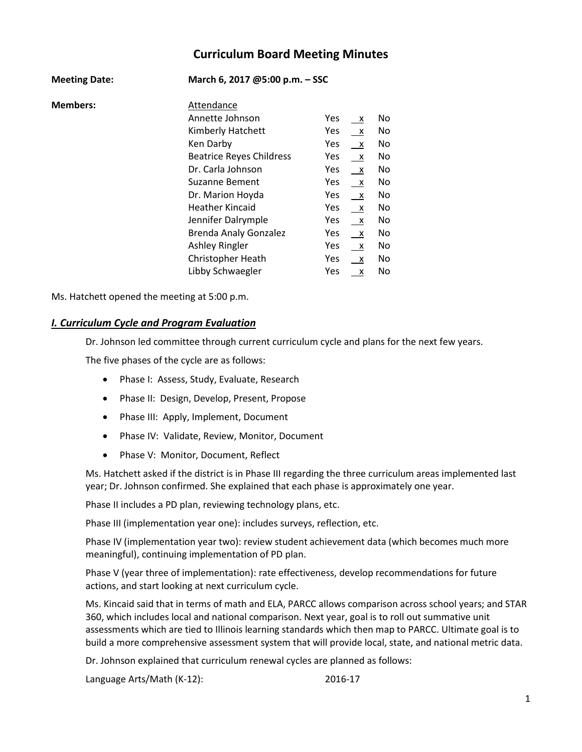# **Curriculum Board Meeting Minutes**

| <b>Meeting Date:</b> | March 6, 2017 @5:00 p.m. - SSC  |     |                           |    |
|----------------------|---------------------------------|-----|---------------------------|----|
| <b>Members:</b>      | Attendance                      |     |                           |    |
|                      | Annette Johnson                 | Yes | X                         | No |
|                      | Kimberly Hatchett               | Yes | $\mathsf{X}$              | No |
|                      | Ken Darby                       | Yes | $\mathsf{X}$              | No |
|                      | <b>Beatrice Reyes Childress</b> | Yes | $\mathsf{X}$              | No |
|                      | Dr. Carla Johnson               | Yes | $\mathsf{X}$              | No |
|                      | <b>Suzanne Bement</b>           | Yes | $\mathsf{X}$              | No |
|                      | Dr. Marion Hoyda                | Yes | $\mathsf{X}$              | No |
|                      | <b>Heather Kincaid</b>          | Yes | $\mathsf{X}$              | No |
|                      | Jennifer Dalrymple              | Yes | $\mathsf{X}$              | No |
|                      | <b>Brenda Analy Gonzalez</b>    | Yes | $\mathsf{X}$              | No |
|                      | Ashley Ringler                  | Yes | $\mathsf{X}$              | No |
|                      | Christopher Heath               | Yes | $\mathsf{X}$              | No |
|                      | Libby Schwaegler                | Yes | $\boldsymbol{\mathsf{X}}$ | No |

Ms. Hatchett opened the meeting at 5:00 p.m.

### *I. Curriculum Cycle and Program Evaluation*

Dr. Johnson led committee through current curriculum cycle and plans for the next few years.

The five phases of the cycle are as follows:

- Phase I: Assess, Study, Evaluate, Research
- Phase II: Design, Develop, Present, Propose
- Phase III: Apply, Implement, Document
- Phase IV: Validate, Review, Monitor, Document
- Phase V: Monitor, Document, Reflect

Ms. Hatchett asked if the district is in Phase III regarding the three curriculum areas implemented last year; Dr. Johnson confirmed. She explained that each phase is approximately one year.

Phase II includes a PD plan, reviewing technology plans, etc.

Phase III (implementation year one): includes surveys, reflection, etc.

Phase IV (implementation year two): review student achievement data (which becomes much more meaningful), continuing implementation of PD plan.

Phase V (year three of implementation): rate effectiveness, develop recommendations for future actions, and start looking at next curriculum cycle.

Ms. Kincaid said that in terms of math and ELA, PARCC allows comparison across school years; and STAR 360, which includes local and national comparison. Next year, goal is to roll out summative unit assessments which are tied to Illinois learning standards which then map to PARCC. Ultimate goal is to build a more comprehensive assessment system that will provide local, state, and national metric data.

Dr. Johnson explained that curriculum renewal cycles are planned as follows:

Language Arts/Math (K-12): 2016-17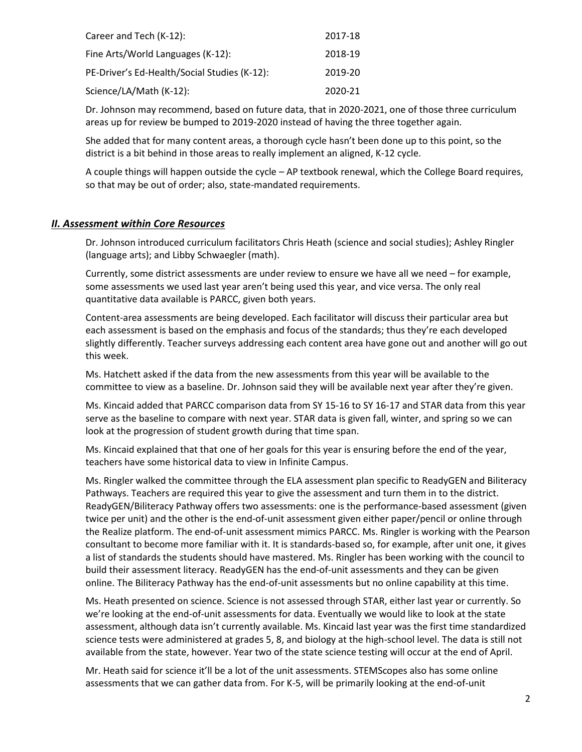| Career and Tech (K-12):                      | 2017-18 |
|----------------------------------------------|---------|
| Fine Arts/World Languages (K-12):            | 2018-19 |
| PE-Driver's Ed-Health/Social Studies (K-12): | 2019-20 |
| Science/LA/Math (K-12):                      | 2020-21 |

Dr. Johnson may recommend, based on future data, that in 2020-2021, one of those three curriculum areas up for review be bumped to 2019-2020 instead of having the three together again.

She added that for many content areas, a thorough cycle hasn't been done up to this point, so the district is a bit behind in those areas to really implement an aligned, K-12 cycle.

A couple things will happen outside the cycle – AP textbook renewal, which the College Board requires, so that may be out of order; also, state-mandated requirements.

### *II. Assessment within Core Resources*

Dr. Johnson introduced curriculum facilitators Chris Heath (science and social studies); Ashley Ringler (language arts); and Libby Schwaegler (math).

Currently, some district assessments are under review to ensure we have all we need – for example, some assessments we used last year aren't being used this year, and vice versa. The only real quantitative data available is PARCC, given both years.

Content-area assessments are being developed. Each facilitator will discuss their particular area but each assessment is based on the emphasis and focus of the standards; thus they're each developed slightly differently. Teacher surveys addressing each content area have gone out and another will go out this week.

Ms. Hatchett asked if the data from the new assessments from this year will be available to the committee to view as a baseline. Dr. Johnson said they will be available next year after they're given.

Ms. Kincaid added that PARCC comparison data from SY 15-16 to SY 16-17 and STAR data from this year serve as the baseline to compare with next year. STAR data is given fall, winter, and spring so we can look at the progression of student growth during that time span.

Ms. Kincaid explained that that one of her goals for this year is ensuring before the end of the year, teachers have some historical data to view in Infinite Campus.

Ms. Ringler walked the committee through the ELA assessment plan specific to ReadyGEN and Biliteracy Pathways. Teachers are required this year to give the assessment and turn them in to the district. ReadyGEN/Biliteracy Pathway offers two assessments: one is the performance-based assessment (given twice per unit) and the other is the end-of-unit assessment given either paper/pencil or online through the Realize platform. The end-of-unit assessment mimics PARCC. Ms. Ringler is working with the Pearson consultant to become more familiar with it. It is standards-based so, for example, after unit one, it gives a list of standards the students should have mastered. Ms. Ringler has been working with the council to build their assessment literacy. ReadyGEN has the end-of-unit assessments and they can be given online. The Biliteracy Pathway has the end-of-unit assessments but no online capability at this time.

Ms. Heath presented on science. Science is not assessed through STAR, either last year or currently. So we're looking at the end-of-unit assessments for data. Eventually we would like to look at the state assessment, although data isn't currently available. Ms. Kincaid last year was the first time standardized science tests were administered at grades 5, 8, and biology at the high-school level. The data is still not available from the state, however. Year two of the state science testing will occur at the end of April.

Mr. Heath said for science it'll be a lot of the unit assessments. STEMScopes also has some online assessments that we can gather data from. For K-5, will be primarily looking at the end-of-unit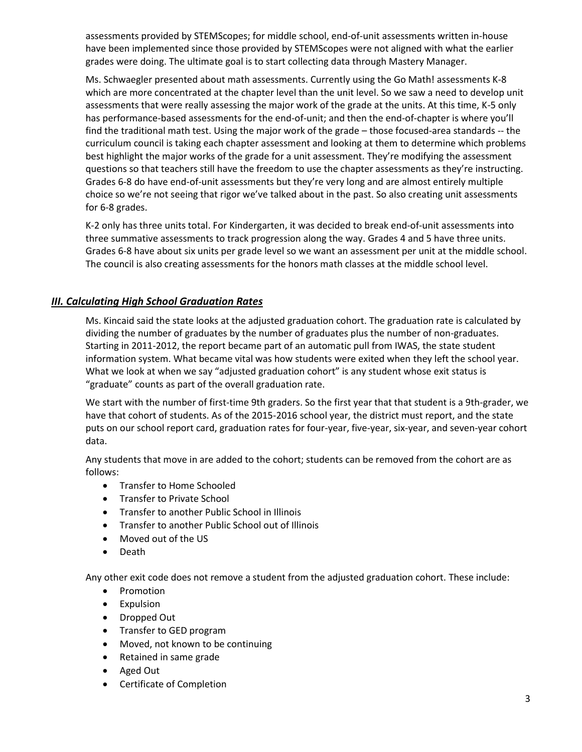assessments provided by STEMScopes; for middle school, end-of-unit assessments written in-house have been implemented since those provided by STEMScopes were not aligned with what the earlier grades were doing. The ultimate goal is to start collecting data through Mastery Manager.

Ms. Schwaegler presented about math assessments. Currently using the Go Math! assessments K-8 which are more concentrated at the chapter level than the unit level. So we saw a need to develop unit assessments that were really assessing the major work of the grade at the units. At this time, K-5 only has performance-based assessments for the end-of-unit; and then the end-of-chapter is where you'll find the traditional math test. Using the major work of the grade – those focused-area standards -- the curriculum council is taking each chapter assessment and looking at them to determine which problems best highlight the major works of the grade for a unit assessment. They're modifying the assessment questions so that teachers still have the freedom to use the chapter assessments as they're instructing. Grades 6-8 do have end-of-unit assessments but they're very long and are almost entirely multiple choice so we're not seeing that rigor we've talked about in the past. So also creating unit assessments for 6-8 grades.

K-2 only has three units total. For Kindergarten, it was decided to break end-of-unit assessments into three summative assessments to track progression along the way. Grades 4 and 5 have three units. Grades 6-8 have about six units per grade level so we want an assessment per unit at the middle school. The council is also creating assessments for the honors math classes at the middle school level.

## *III. Calculating High School Graduation Rates*

Ms. Kincaid said the state looks at the adjusted graduation cohort. The graduation rate is calculated by dividing the number of graduates by the number of graduates plus the number of non-graduates. Starting in 2011-2012, the report became part of an automatic pull from IWAS, the state student information system. What became vital was how students were exited when they left the school year. What we look at when we say "adjusted graduation cohort" is any student whose exit status is "graduate" counts as part of the overall graduation rate.

We start with the number of first-time 9th graders. So the first year that that student is a 9th-grader, we have that cohort of students. As of the 2015-2016 school year, the district must report, and the state puts on our school report card, graduation rates for four-year, five-year, six-year, and seven-year cohort data.

Any students that move in are added to the cohort; students can be removed from the cohort are as follows:

- Transfer to Home Schooled
- Transfer to Private School
- Transfer to another Public School in Illinois
- Transfer to another Public School out of Illinois
- Moved out of the US
- Death

Any other exit code does not remove a student from the adjusted graduation cohort. These include:

- Promotion
- Expulsion
- Dropped Out
- Transfer to GED program
- Moved, not known to be continuing
- Retained in same grade
- Aged Out
- Certificate of Completion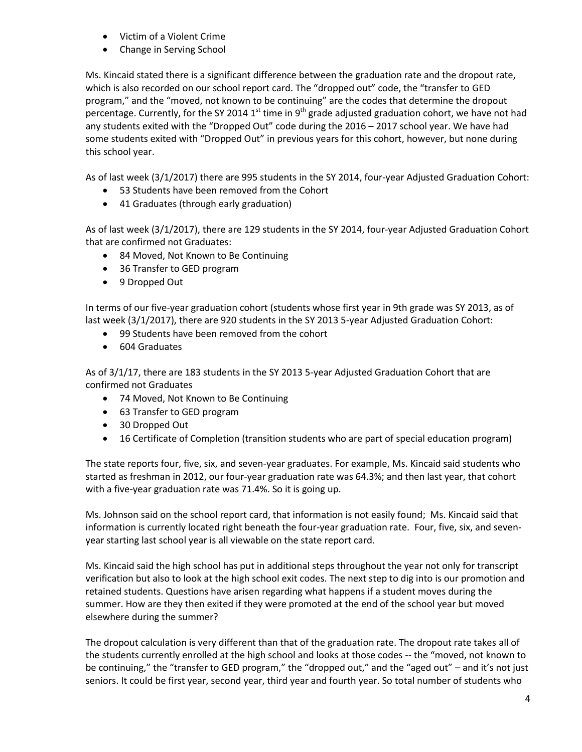- Victim of a Violent Crime
- Change in Serving School

Ms. Kincaid stated there is a significant difference between the graduation rate and the dropout rate, which is also recorded on our school report card. The "dropped out" code, the "transfer to GED program," and the "moved, not known to be continuing" are the codes that determine the dropout percentage. Currently, for the SY 2014 1<sup>st</sup> time in 9<sup>th</sup> grade adjusted graduation cohort, we have not had any students exited with the "Dropped Out" code during the 2016 – 2017 school year. We have had some students exited with "Dropped Out" in previous years for this cohort, however, but none during this school year.

As of last week (3/1/2017) there are 995 students in the SY 2014, four-year Adjusted Graduation Cohort:

- 53 Students have been removed from the Cohort
- 41 Graduates (through early graduation)

As of last week (3/1/2017), there are 129 students in the SY 2014, four-year Adjusted Graduation Cohort that are confirmed not Graduates:

- 84 Moved, Not Known to Be Continuing
- 36 Transfer to GED program
- 9 Dropped Out

In terms of our five-year graduation cohort (students whose first year in 9th grade was SY 2013, as of last week (3/1/2017), there are 920 students in the SY 2013 5-year Adjusted Graduation Cohort:

- 99 Students have been removed from the cohort
- 604 Graduates

As of 3/1/17, there are 183 students in the SY 2013 5-year Adjusted Graduation Cohort that are confirmed not Graduates

- 74 Moved, Not Known to Be Continuing
- 63 Transfer to GED program
- 30 Dropped Out
- 16 Certificate of Completion (transition students who are part of special education program)

The state reports four, five, six, and seven-year graduates. For example, Ms. Kincaid said students who started as freshman in 2012, our four-year graduation rate was 64.3%; and then last year, that cohort with a five-year graduation rate was 71.4%. So it is going up.

Ms. Johnson said on the school report card, that information is not easily found; Ms. Kincaid said that information is currently located right beneath the four-year graduation rate. Four, five, six, and sevenyear starting last school year is all viewable on the state report card.

Ms. Kincaid said the high school has put in additional steps throughout the year not only for transcript verification but also to look at the high school exit codes. The next step to dig into is our promotion and retained students. Questions have arisen regarding what happens if a student moves during the summer. How are they then exited if they were promoted at the end of the school year but moved elsewhere during the summer?

The dropout calculation is very different than that of the graduation rate. The dropout rate takes all of the students currently enrolled at the high school and looks at those codes -- the "moved, not known to be continuing," the "transfer to GED program," the "dropped out," and the "aged out" – and it's not just seniors. It could be first year, second year, third year and fourth year. So total number of students who